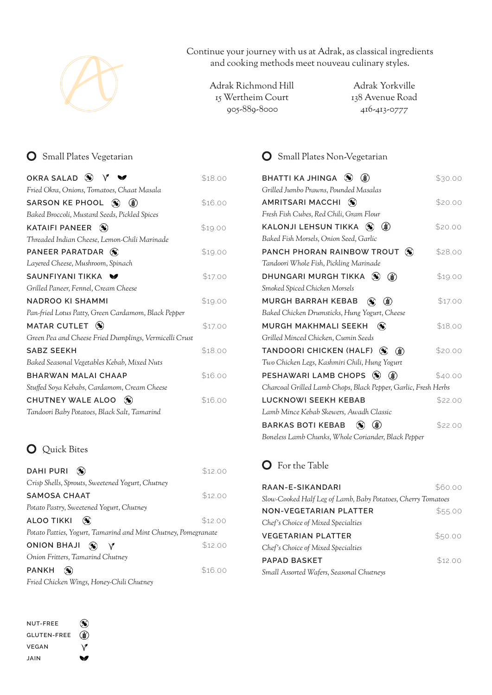

Continue your journey with us at Adrak, as classical ingredients and cooking methods meet nouveau culinary styles.

 Adrak Richmond Hill Adrak Yorkville 15 Wertheim Court 905-889-8000 416-413-0777

#### **O** Small Plates Vegetarian

| OKRA SALAD $\otimes$                                   | \$18.00 |
|--------------------------------------------------------|---------|
| Fried Okra, Onions, Tomatoes, Chaat Masala             |         |
| SARSON KE PHOOL (%)<br>$\mathbf{r}$                    | \$16.00 |
| Baked Broccoli, Mustard Seeds, Pickled Spices          |         |
| $\infty$<br><b>KATAIFI PANEER</b>                      | \$19.00 |
| Threaded Indian Cheese, Lemon-Chili Marinade           |         |
| PANEER PARATDAR<br>$\infty$                            | \$19.00 |
| Layered Cheese, Mushroom, Spinach                      |         |
| SAUNFIYANI TIKKA<br>$\blacksquare$                     | \$17.00 |
| Grilled Paneer, Fennel, Cream Cheese                   |         |
| <b>NADROO KI SHAMMI</b>                                | \$19.00 |
| Pan-fried Lotus Patty, Green Cardamom, Black Pepper    |         |
| <b>MATAR CUTLET</b><br>$\infty$                        | \$17.00 |
| Green Pea and Cheese Fried Dumplings, Vermicelli Crust |         |
| <b>SABZ SEEKH</b>                                      | \$18.00 |
| Baked Seasonal Vegetables Kebab, Mixed Nuts            |         |
| BHARWAN MALAI CHAAP                                    | \$16.00 |
| Stuffed Soya Kebabs, Cardamom, Cream Cheese            |         |
| CHUTNEY WALE ALOO<br>$\mathcal{N}$                     | \$16.00 |
| Tandoori Baby Potatoes, Black Salt, Tamarind           |         |

#### **O** Quick Bites

| DAHI PURI                                                      | \$12.00 |
|----------------------------------------------------------------|---------|
| Crisp Shells, Sprouts, Sweetened Yogurt, Chutney               |         |
| SAMOSA CHAAT                                                   | \$12.00 |
| Potato Pastry, Sweetened Yogurt, Chutney                       |         |
| <b>ALOO TIKKI</b>                                              | \$12.00 |
| Potato Patties, Yogurt, Tamarind and Mint Chutney, Pomegranate |         |
| <b>ONION BHAJI</b><br>$\infty$ $\vee$                          | \$12.00 |
| Onion Fritters, Tamarind Chutney                               |         |
| <b>PANKH</b>                                                   | \$16.00 |
| Fried Chicken Wings, Honey-Chili Chutney                       |         |

| <b>NUT-FREE</b>    | $\infty$                     |
|--------------------|------------------------------|
| <b>GLUTEN-FREE</b> | $\left( \frac{1}{2} \right)$ |
| <b>VFGAN</b>       | \7                           |
| JAIN               | ∾                            |

## **O** Small Plates Non-Vegetarian

| BHATTI KA JHINGA $\circledast$<br>$\left( \boldsymbol{\mathcal{E}}\right)$ | \$30.00 |
|----------------------------------------------------------------------------|---------|
| Grilled Jumbo Prawns, Pounded Masalas                                      |         |
| <b>AMRITSARI MACCHI</b><br>$\mathbf{\infty}$                               | \$20.00 |
| Fresh Fish Cubes, Red Chili, Gram Flour                                    |         |
| KALONJI LEHSUN TIKKA (S)<br>$\mathbf{S}$                                   | \$20.00 |
| Baked Fish Morsels, Onion Seed, Garlic                                     |         |
| PANCH PHORAN RAINBOW TROUT (%)                                             | \$28.00 |
| Tandoori Whole Fish, Pickling Marinade                                     |         |
| DHUNGARI MURGH TIKKA (%)<br>$\left( \frac{1}{2} \right)$                   | \$19.00 |
| Smoked Spiced Chicken Morsels                                              |         |
| MURGH BARRAH KEBAB<br>$\infty$<br>(3)                                      | \$17.00 |
| Baked Chicken Drumsticks, Hung Yogurt, Cheese                              |         |
| MURGH MAKHMALI SEEKH<br>$\infty$                                           | \$18.00 |
| Grilled Minced Chicken, Cumin Seeds                                        |         |
| TANDOORI CHICKEN (HALF)<br>$\infty$<br>$\mathbf{r}$                        | \$20.00 |
| Two Chicken Legs, Kashmiri Chili, Hung Yogurt                              |         |
| PESHAWARI LAMB CHOPS <sup>(*)</sup><br>$\circ$                             | \$40.00 |
| Charcoal Grilled Lamb Chops, Black Pepper, Garlic, Fresh Herbs             |         |
| <b>LUCKNOWI SEEKH KEBAB</b>                                                | \$22.00 |
| Lamb Mince Kebab Skewers, Awadh Classic                                    |         |
| $\circledast$<br><b>BARKAS BOTI KEBAB</b><br>$\infty$                      | \$22.00 |
| Boneless Lamb Chunks, Whole Coriander, Black Pepper                        |         |

### **O** For the Table

| RAAN-E-SIKANDARI                                             | \$60.00 |
|--------------------------------------------------------------|---------|
| Slow-Cooked Half Leg of Lamb, Baby Potatoes, Cherry Tomatoes |         |
| NON-VEGETARIAN PLATTER                                       | \$55.00 |
| Chef's Choice of Mixed Specialties                           |         |
| VEGETARIAN PLATTER                                           | \$50.00 |
| Chef's Choice of Mixed Specialties                           |         |
| PAPAD BASKET                                                 | \$12.00 |
| Small Assorted Wafers, Seasonal Chutneys                     |         |